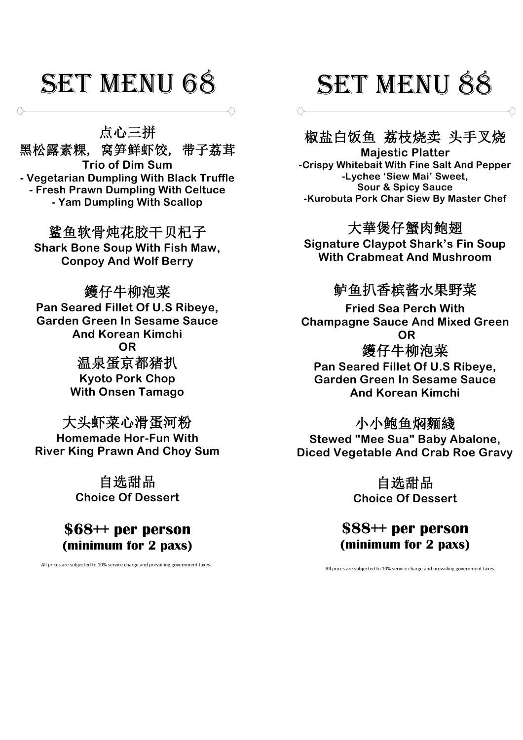点心三拼

黑松露素粿, 窝笋鲜虾饺, 带子荔茸 **Trio of Dim Sum - Vegetarian Dumpling With Black Truffle - Fresh Prawn Dumpling With Celtuce - Yam Dumpling With Scallop**

鲨鱼软骨炖花胶干贝杞子 **Shark Bone Soup With Fish Maw, Conpoy And Wolf Berry**

鑊仔牛柳泡菜 **Pan Seared Fillet Of U.S Ribeye, Garden Green In Sesame Sauce And Korean Kimchi OR** 温泉蛋京都猪扒 **Kyoto Pork Chop With Onsen Tamago**

大头虾菜心滑蛋河粉 **Homemade Hor-Fun With River King Prawn And Choy Sum**

> 自选甜品 **Choice Of Dessert**

**\$68++ per person (minimum for 2 paxs)**

All prices are subjected to 10% service charge and prevailing government taxes All prices are subjected to 10% service charge and prevailing government taxes

# SET MENU 68 SET MENU 88

### 椒盐白饭鱼 荔枝烧卖 头手叉烧

 $\circ$ 

**Majestic Platter -Crispy Whitebait With Fine Salt And Pepper -Lychee 'Siew Mai' Sweet, Sour & Spicy Sauce -Kurobuta Pork Char Siew By Master Chef** 

### 大華煲仔蟹肉鲍翅

**Signature Claypot Shark's Fin Soup With Crabmeat And Mushroom**

### 鲈鱼扒香槟酱水果野菜

**Fried Sea Perch With Champagne Sauce And Mixed Green OR**

### 鑊仔牛柳泡菜

**Pan Seared Fillet Of U.S Ribeye, Garden Green In Sesame Sauce And Korean Kimchi**

### 小小鲍鱼焖麵綫

**Stewed "Mee Sua" Baby Abalone, Diced Vegetable And Crab Roe Gravy**

> 自选甜品 **Choice Of Dessert**

**\$88++ per person (minimum for 2 paxs)**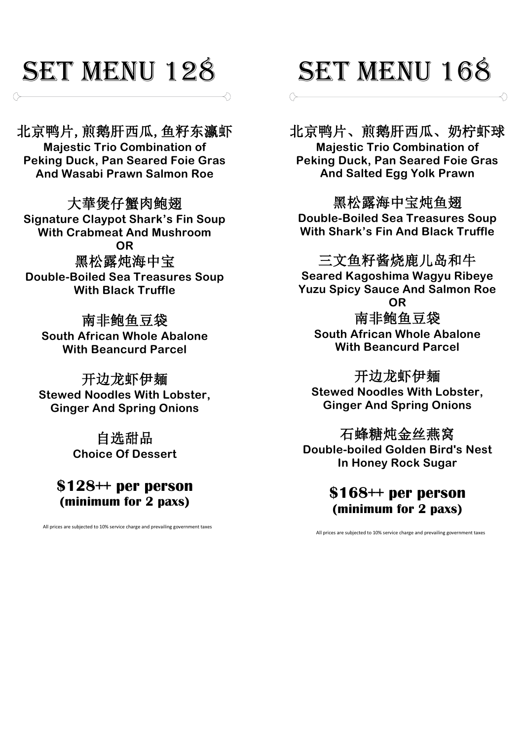### SET MENU 128

北京鸭片,煎鹅肝西瓜,鱼籽东瀛虾 **Majestic Trio Combination of Peking Duck, Pan Seared Foie Gras And Wasabi Prawn Salmon Roe**

大華煲仔蟹肉鲍翅 **Signature Claypot Shark's Fin Soup With Crabmeat And Mushroom OR** 黑松露炖海中宝 **Double-Boiled Sea Treasures Soup With Black Truffle**

南非鲍鱼豆袋 **South African Whole Abalone With Beancurd Parcel** 

开边龙虾伊麺 **Stewed Noodles With Lobster, Ginger And Spring Onions**

> 自选甜品 **Choice Of Dessert**

**\$128++ per person (minimum for 2 paxs)**

All prices are subjected to 10% service charge and prevailing government taxes

# SET MENU 168

北京鸭片、煎鹅肝西瓜、奶柠虾球 **Majestic Trio Combination of Peking Duck, Pan Seared Foie Gras And Salted Egg Yolk Prawn**

黑松露海中宝炖鱼翅 **Double-Boiled Sea Treasures Soup With Shark's Fin And Black Truffle** 

三文鱼籽酱烧鹿儿岛和牛

**Seared Kagoshima Wagyu Ribeye Yuzu Spicy Sauce And Salmon Roe OR** 南非鲍鱼豆袋 **South African Whole Abalone With Beancurd Parcel** 

开边龙虾伊麺 **Stewed Noodles With Lobster, Ginger And Spring Onions**

石蜂糖炖金丝燕窝 **Double-boiled Golden Bird's Nest In Honey Rock Sugar**

> **\$168++ per person (minimum for 2 paxs)**

All prices are subjected to 10% service charge and prevailing government taxes